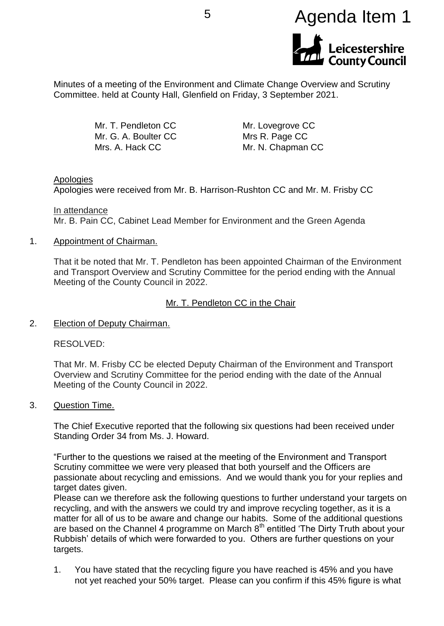

Minutes of a meeting of the Environment and Climate Change Overview and Scrutiny Committee. held at County Hall, Glenfield on Friday, 3 September 2021.

> Mr. T. Pendleton CC Mr. G. A. Boulter CC Mrs. A. Hack CC

Mr. Lovegrove CC Mrs R. Page CC Mr. N. Chapman CC

### Apologies

Apologies were received from Mr. B. Harrison-Rushton CC and Mr. M. Frisby CC

In attendance Mr. B. Pain CC, Cabinet Lead Member for Environment and the Green Agenda

#### 1. Appointment of Chairman.

That it be noted that Mr. T. Pendleton has been appointed Chairman of the Environment and Transport Overview and Scrutiny Committee for the period ending with the Annual Meeting of the County Council in 2022.

### Mr. T. Pendleton CC in the Chair

2. Election of Deputy Chairman.

RESOLVED:

That Mr. M. Frisby CC be elected Deputy Chairman of the Environment and Transport Overview and Scrutiny Committee for the period ending with the date of the Annual Meeting of the County Council in 2022.

3. Question Time.

The Chief Executive reported that the following six questions had been received under Standing Order 34 from Ms. J. Howard.

"Further to the questions we raised at the meeting of the Environment and Transport Scrutiny committee we were very pleased that both yourself and the Officers are passionate about recycling and emissions. And we would thank you for your replies and target dates given.

Please can we therefore ask the following questions to further understand your targets on recycling, and with the answers we could try and improve recycling together, as it is a matter for all of us to be aware and change our habits. Some of the additional questions are based on the Channel 4 programme on March  $8<sup>th</sup>$  entitled 'The Dirty Truth about your Rubbish' details of which were forwarded to you. Others are further questions on your targets.

1. You have stated that the recycling figure you have reached is 45% and you have not yet reached your 50% target. Please can you confirm if this 45% figure is what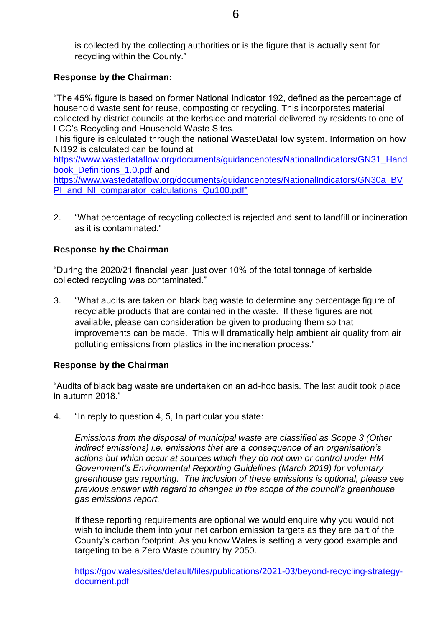is collected by the collecting authorities or is the figure that is actually sent for recycling within the County."

# **Response by the Chairman:**

"The 45% figure is based on former National Indicator 192, defined as the percentage of household waste sent for reuse, composting or recycling. This incorporates material collected by district councils at the kerbside and material delivered by residents to one of LCC's Recycling and Household Waste Sites.

This figure is calculated through the national WasteDataFlow system. Information on how NI192 is calculated can be found at

[https://www.wastedataflow.org/documents/guidancenotes/NationalIndicators/GN31\\_Hand](https://www.wastedataflow.org/documents/guidancenotes/NationalIndicators/GN31_Handbook_Definitions_1.0.pdf) book Definitions 1.0.pdf and

[https://www.wastedataflow.org/documents/guidancenotes/NationalIndicators/GN30a\\_BV](https://www.wastedataflow.org/documents/guidancenotes/NationalIndicators/GN30a_BVPI_and_NI_comparator_calculations_Qu100.pdf) [PI\\_and\\_NI\\_comparator\\_calculations\\_Qu100.pdf"](https://www.wastedataflow.org/documents/guidancenotes/NationalIndicators/GN30a_BVPI_and_NI_comparator_calculations_Qu100.pdf)

2. "What percentage of recycling collected is rejected and sent to landfill or incineration as it is contaminated."

# **Response by the Chairman**

"During the 2020/21 financial year, just over 10% of the total tonnage of kerbside collected recycling was contaminated."

3. "What audits are taken on black bag waste to determine any percentage figure of recyclable products that are contained in the waste. If these figures are not available, please can consideration be given to producing them so that improvements can be made. This will dramatically help ambient air quality from air polluting emissions from plastics in the incineration process."

# **Response by the Chairman**

"Audits of black bag waste are undertaken on an ad-hoc basis. The last audit took place in autumn 2018."

4. "In reply to question 4, 5, In particular you state:

*Emissions from the disposal of municipal waste are classified as Scope 3 (Other indirect emissions) i.e. emissions that are a consequence of an organisation's actions but which occur at sources which they do not own or control under HM Government's Environmental Reporting Guidelines (March 2019) for voluntary greenhouse gas reporting. The inclusion of these emissions is optional, please see previous answer with regard to changes in the scope of the council's greenhouse gas emissions report.*

If these reporting requirements are optional we would enquire why you would not wish to include them into your net carbon emission targets as they are part of the County's carbon footprint. As you know Wales is setting a very good example and targeting to be a Zero Waste country by 2050.

[https://gov.wales/sites/default/files/publications/2021-03/beyond-recycling-strategy](https://emea01.safelinks.protection.outlook.com/?url=https%3A%2F%2Fgov.wales%2Fsites%2Fdefault%2Ffiles%2Fpublications%2F2021-03%2Fbeyond-recycling-strategy-document.pdf&data=04%7C01%7C%7Ce9a08899e45b45d2206f08d8df039205%7C84df9e7fe9f640afb435aaaaaaaaaaaa%7C1%7C0%7C637504553901804044%7CUnknown%7CTWFpbGZsb3d8eyJWIjoiMC4wLjAwMDAiLCJQIjoiV2luMzIiLCJBTiI6Ik1haWwiLCJXVCI6Mn0%3D%7C1000&sdata=0k6POfDKsD6pKV8yPWVpZzy%2BNrY%2BSWVSjSZLmgzhaH0%3D&reserved=0)[document.pdf](https://emea01.safelinks.protection.outlook.com/?url=https%3A%2F%2Fgov.wales%2Fsites%2Fdefault%2Ffiles%2Fpublications%2F2021-03%2Fbeyond-recycling-strategy-document.pdf&data=04%7C01%7C%7Ce9a08899e45b45d2206f08d8df039205%7C84df9e7fe9f640afb435aaaaaaaaaaaa%7C1%7C0%7C637504553901804044%7CUnknown%7CTWFpbGZsb3d8eyJWIjoiMC4wLjAwMDAiLCJQIjoiV2luMzIiLCJBTiI6Ik1haWwiLCJXVCI6Mn0%3D%7C1000&sdata=0k6POfDKsD6pKV8yPWVpZzy%2BNrY%2BSWVSjSZLmgzhaH0%3D&reserved=0)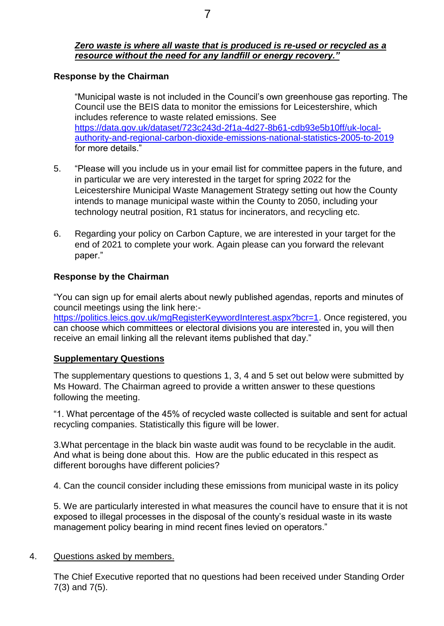## *Zero waste is where all waste that is produced is re-used or recycled as a resource without the need for any landfill or energy recovery."*

### **Response by the Chairman**

"Municipal waste is not included in the Council's own greenhouse gas reporting. The Council use the BEIS data to monitor the emissions for Leicestershire, which includes reference to waste related emissions. See [https://data.gov.uk/dataset/723c243d-2f1a-4d27-8b61-cdb93e5b10ff/uk-local](https://data.gov.uk/dataset/723c243d-2f1a-4d27-8b61-cdb93e5b10ff/uk-local-authority-and-regional-carbon-dioxide-emissions-national-statistics-2005-to-2019)[authority-and-regional-carbon-dioxide-emissions-national-statistics-2005-to-2019](https://data.gov.uk/dataset/723c243d-2f1a-4d27-8b61-cdb93e5b10ff/uk-local-authority-and-regional-carbon-dioxide-emissions-national-statistics-2005-to-2019)  for more details."

- 5. "Please will you include us in your email list for committee papers in the future, and in particular we are very interested in the target for spring 2022 for the Leicestershire Municipal Waste Management Strategy setting out how the County intends to manage municipal waste within the County to 2050, including your technology neutral position, R1 status for incinerators, and recycling etc.
- 6. Regarding your policy on Carbon Capture, we are interested in your target for the end of 2021 to complete your work. Again please can you forward the relevant paper."

## **Response by the Chairman**

"You can sign up for email alerts about newly published agendas, reports and minutes of council meetings using the link here:-

[https://politics.leics.gov.uk/mgRegisterKeywordInterest.aspx?bcr=1.](https://politics.leics.gov.uk/mgRegisterKeywordInterest.aspx?bcr=1) Once registered, you can choose which committees or electoral divisions you are interested in, you will then receive an email linking all the relevant items published that day."

### **Supplementary Questions**

The supplementary questions to questions 1, 3, 4 and 5 set out below were submitted by Ms Howard. The Chairman agreed to provide a written answer to these questions following the meeting.

"1. What percentage of the 45% of recycled waste collected is suitable and sent for actual recycling companies. Statistically this figure will be lower.

3.What percentage in the black bin waste audit was found to be recyclable in the audit. And what is being done about this. How are the public educated in this respect as different boroughs have different policies?

4. Can the council consider including these emissions from municipal waste in its policy

5. We are particularly interested in what measures the council have to ensure that it is not exposed to illegal processes in the disposal of the county's residual waste in its waste management policy bearing in mind recent fines levied on operators."

### 4. Questions asked by members.

The Chief Executive reported that no questions had been received under Standing Order 7(3) and 7(5).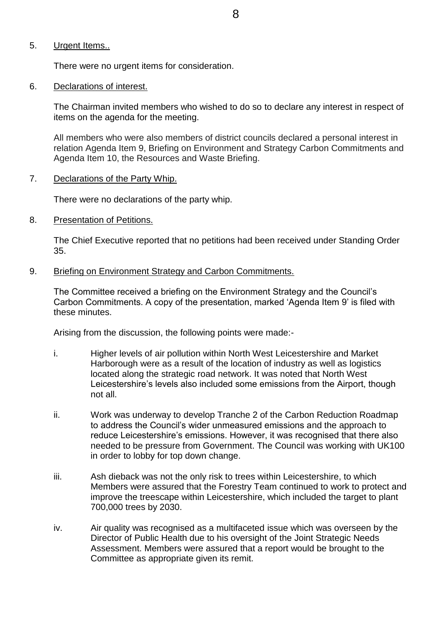### 5. Urgent Items..

There were no urgent items for consideration.

#### 6. Declarations of interest.

The Chairman invited members who wished to do so to declare any interest in respect of items on the agenda for the meeting.

All members who were also members of district councils declared a personal interest in relation Agenda Item 9, Briefing on Environment and Strategy Carbon Commitments and Agenda Item 10, the Resources and Waste Briefing.

#### 7. Declarations of the Party Whip.

There were no declarations of the party whip.

8. Presentation of Petitions.

The Chief Executive reported that no petitions had been received under Standing Order 35.

9. Briefing on Environment Strategy and Carbon Commitments.

The Committee received a briefing on the Environment Strategy and the Council's Carbon Commitments. A copy of the presentation, marked 'Agenda Item 9' is filed with these minutes.

Arising from the discussion, the following points were made:-

- i. Higher levels of air pollution within North West Leicestershire and Market Harborough were as a result of the location of industry as well as logistics located along the strategic road network. It was noted that North West Leicestershire's levels also included some emissions from the Airport, though not all.
- ii. Work was underway to develop Tranche 2 of the Carbon Reduction Roadmap to address the Council's wider unmeasured emissions and the approach to reduce Leicestershire's emissions. However, it was recognised that there also needed to be pressure from Government. The Council was working with UK100 in order to lobby for top down change.
- iii. Ash dieback was not the only risk to trees within Leicestershire, to which Members were assured that the Forestry Team continued to work to protect and improve the treescape within Leicestershire, which included the target to plant 700,000 trees by 2030.
- iv. Air quality was recognised as a multifaceted issue which was overseen by the Director of Public Health due to his oversight of the Joint Strategic Needs Assessment. Members were assured that a report would be brought to the Committee as appropriate given its remit.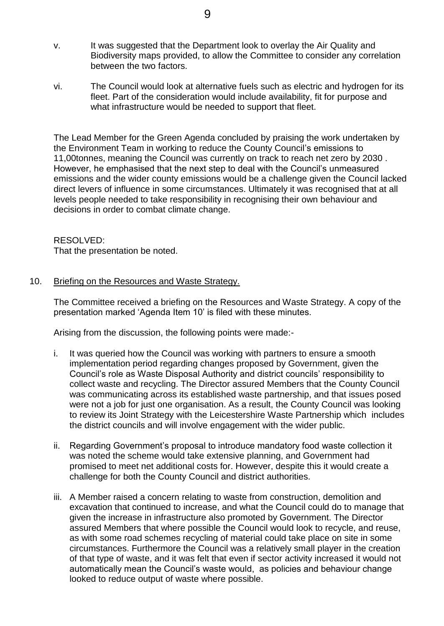- v. It was suggested that the Department look to overlay the Air Quality and Biodiversity maps provided, to allow the Committee to consider any correlation between the two factors.
- vi. The Council would look at alternative fuels such as electric and hydrogen for its fleet. Part of the consideration would include availability, fit for purpose and what infrastructure would be needed to support that fleet.

The Lead Member for the Green Agenda concluded by praising the work undertaken by the Environment Team in working to reduce the County Council's emissions to 11,00tonnes, meaning the Council was currently on track to reach net zero by 2030 . However, he emphasised that the next step to deal with the Council's unmeasured emissions and the wider county emissions would be a challenge given the Council lacked direct levers of influence in some circumstances. Ultimately it was recognised that at all levels people needed to take responsibility in recognising their own behaviour and decisions in order to combat climate change.

# RESOLVED:

That the presentation be noted.

## 10. Briefing on the Resources and Waste Strategy.

The Committee received a briefing on the Resources and Waste Strategy. A copy of the presentation marked 'Agenda Item 10' is filed with these minutes.

Arising from the discussion, the following points were made:-

- i. It was queried how the Council was working with partners to ensure a smooth implementation period regarding changes proposed by Government, given the Council's role as Waste Disposal Authority and district councils' responsibility to collect waste and recycling. The Director assured Members that the County Council was communicating across its established waste partnership, and that issues posed were not a job for just one organisation. As a result, the County Council was looking to review its Joint Strategy with the Leicestershire Waste Partnership which includes the district councils and will involve engagement with the wider public.
- ii. Regarding Government's proposal to introduce mandatory food waste collection it was noted the scheme would take extensive planning, and Government had promised to meet net additional costs for. However, despite this it would create a challenge for both the County Council and district authorities.
- iii. A Member raised a concern relating to waste from construction, demolition and excavation that continued to increase, and what the Council could do to manage that given the increase in infrastructure also promoted by Government. The Director assured Members that where possible the Council would look to recycle, and reuse, as with some road schemes recycling of material could take place on site in some circumstances. Furthermore the Council was a relatively small player in the creation of that type of waste, and it was felt that even if sector activity increased it would not automatically mean the Council's waste would, as policies and behaviour change looked to reduce output of waste where possible.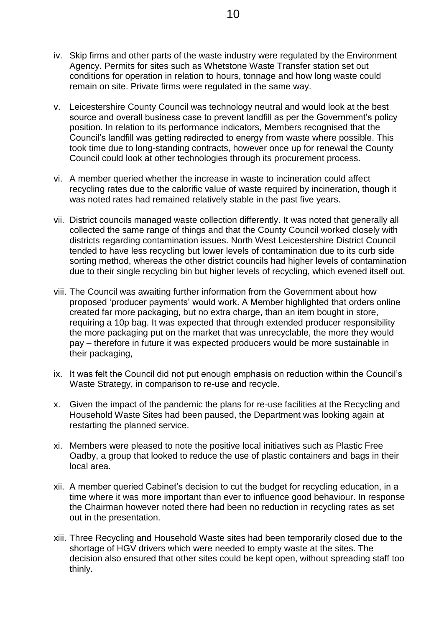- iv. Skip firms and other parts of the waste industry were regulated by the Environment Agency. Permits for sites such as Whetstone Waste Transfer station set out conditions for operation in relation to hours, tonnage and how long waste could remain on site. Private firms were regulated in the same way.
- v. Leicestershire County Council was technology neutral and would look at the best source and overall business case to prevent landfill as per the Government's policy position. In relation to its performance indicators, Members recognised that the Council's landfill was getting redirected to energy from waste where possible. This took time due to long-standing contracts, however once up for renewal the County Council could look at other technologies through its procurement process.
- vi. A member queried whether the increase in waste to incineration could affect recycling rates due to the calorific value of waste required by incineration, though it was noted rates had remained relatively stable in the past five years.
- vii. District councils managed waste collection differently. It was noted that generally all collected the same range of things and that the County Council worked closely with districts regarding contamination issues. North West Leicestershire District Council tended to have less recycling but lower levels of contamination due to its curb side sorting method, whereas the other district councils had higher levels of contamination due to their single recycling bin but higher levels of recycling, which evened itself out.
- viii. The Council was awaiting further information from the Government about how proposed 'producer payments' would work. A Member highlighted that orders online created far more packaging, but no extra charge, than an item bought in store, requiring a 10p bag. It was expected that through extended producer responsibility the more packaging put on the market that was unrecyclable, the more they would pay – therefore in future it was expected producers would be more sustainable in their packaging,
- ix. It was felt the Council did not put enough emphasis on reduction within the Council's Waste Strategy, in comparison to re-use and recycle.
- x. Given the impact of the pandemic the plans for re-use facilities at the Recycling and Household Waste Sites had been paused, the Department was looking again at restarting the planned service.
- xi. Members were pleased to note the positive local initiatives such as Plastic Free Oadby, a group that looked to reduce the use of plastic containers and bags in their local area.
- xii. A member queried Cabinet's decision to cut the budget for recycling education, in a time where it was more important than ever to influence good behaviour. In response the Chairman however noted there had been no reduction in recycling rates as set out in the presentation.
- xiii. Three Recycling and Household Waste sites had been temporarily closed due to the shortage of HGV drivers which were needed to empty waste at the sites. The decision also ensured that other sites could be kept open, without spreading staff too thinly.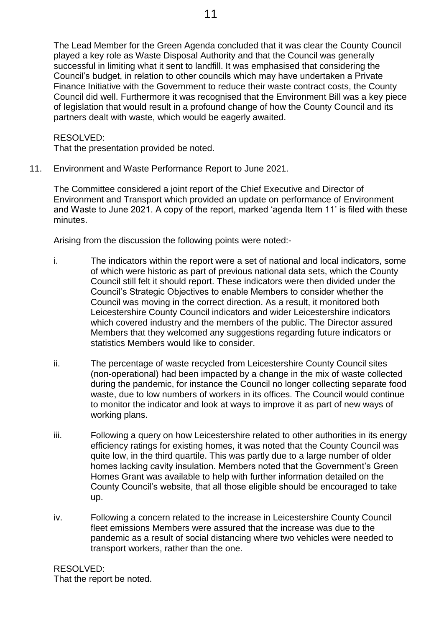The Lead Member for the Green Agenda concluded that it was clear the County Council played a key role as Waste Disposal Authority and that the Council was generally successful in limiting what it sent to landfill. It was emphasised that considering the Council's budget, in relation to other councils which may have undertaken a Private Finance Initiative with the Government to reduce their waste contract costs, the County Council did well. Furthermore it was recognised that the Environment Bill was a key piece of legislation that would result in a profound change of how the County Council and its partners dealt with waste, which would be eagerly awaited.

RESOLVED:

That the presentation provided be noted.

11. Environment and Waste Performance Report to June 2021.

The Committee considered a joint report of the Chief Executive and Director of Environment and Transport which provided an update on performance of Environment and Waste to June 2021. A copy of the report, marked 'agenda Item 11' is filed with these minutes.

Arising from the discussion the following points were noted:-

- i. The indicators within the report were a set of national and local indicators, some of which were historic as part of previous national data sets, which the County Council still felt it should report. These indicators were then divided under the Council's Strategic Objectives to enable Members to consider whether the Council was moving in the correct direction. As a result, it monitored both Leicestershire County Council indicators and wider Leicestershire indicators which covered industry and the members of the public. The Director assured Members that they welcomed any suggestions regarding future indicators or statistics Members would like to consider.
- ii. The percentage of waste recycled from Leicestershire County Council sites (non-operational) had been impacted by a change in the mix of waste collected during the pandemic, for instance the Council no longer collecting separate food waste, due to low numbers of workers in its offices. The Council would continue to monitor the indicator and look at ways to improve it as part of new ways of working plans.
- iii. Following a query on how Leicestershire related to other authorities in its energy efficiency ratings for existing homes, it was noted that the County Council was quite low, in the third quartile. This was partly due to a large number of older homes lacking cavity insulation. Members noted that the Government's Green Homes Grant was available to help with further information detailed on the County Council's website, that all those eligible should be encouraged to take up.
- iv. Following a concern related to the increase in Leicestershire County Council fleet emissions Members were assured that the increase was due to the pandemic as a result of social distancing where two vehicles were needed to transport workers, rather than the one.

RESOLVED: That the report be noted.